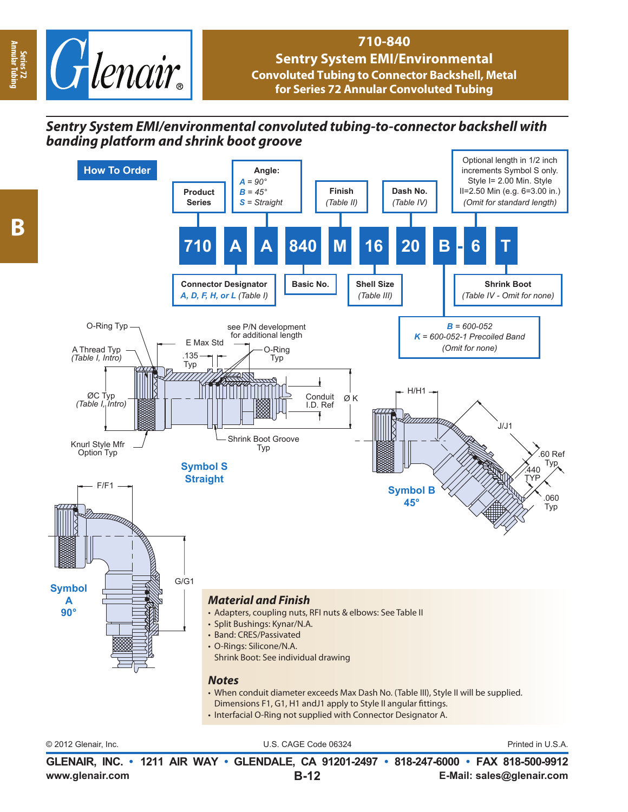

## **710-840 Sentry System EMI/Environmental Convoluted Tubing to Connector Backshell, Metal for Series 72 Annular Convoluted Tubing**

## *Sentry System EMI/environmental convoluted tubing-to-connector backshell with banding platform and shrink boot groove*



**www.glenair.com E-Mail: sales@glenair.com GLENAIR, INC. • 1211 AIR WAY • GLENDALE, CA 91201-2497 • 818-247-6000 • FAX 818-500-9912 B-12**

**Series 72 Annular Tubing**